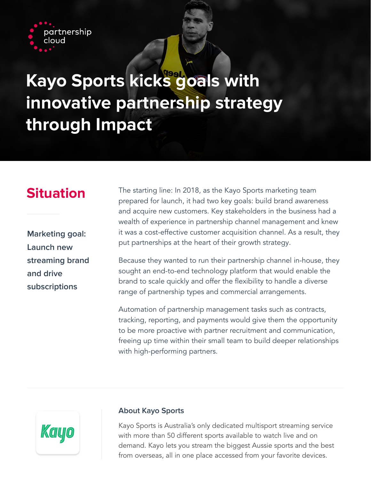

# **Kayo Sports kicks goals with innovative partnership strategy through Impact**

**Marketing goal: Launch new streaming brand and drive subscriptions**

**Situation** The starting line: In 2018, as the Kayo Sports marketing team prepared for launch, it had two key goals: build brand awareness and acquire new customers. Key stakeholders in the business had a wealth of experience in partnership channel management and knew it was a cost-effective customer acquisition channel. As a result, they put partnerships at the heart of their growth strategy.

> Because they wanted to run their partnership channel in-house, they sought an end-to-end technology platform that would enable the brand to scale quickly and offer the flexibility to handle a diverse range of partnership types and commercial arrangements.

> Automation of partnership management tasks such as contracts, tracking, reporting, and payments would give them the opportunity to be more proactive with partner recruitment and communication, freeing up time within their small team to build deeper relationships with high-performing partners.



# **About Kayo Sports**

Kayo Sports is Australia's only dedicated multisport streaming service with more than 50 different sports available to watch live and on demand. Kayo lets you stream the biggest Aussie sports and the best from overseas, all in one place accessed from your favorite devices.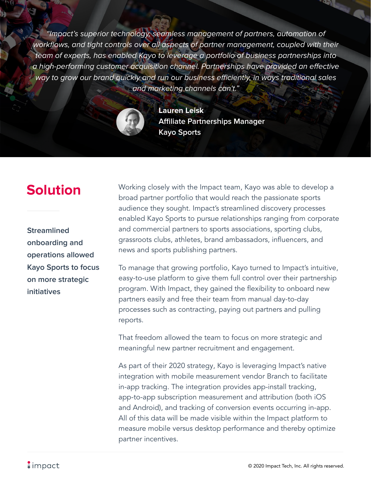"Impact's superior technology, seamless management of partners, automation of workflows, and tight controls over all aspects of partner management, coupled with their team of experts, has enabled Kayo to leverage a portfolio of business partnerships into a high-performing customer acquisition channel. Partnerships have provided an effective way to grow our brand quickly and run our business efficiently, in ways traditional sales and marketing channels can't."



**Lauren Leisk Affiliate Partnerships Manager Kayo Sports**

**Streamlined onboarding and operations allowed Kayo Sports to focus on more strategic initiatives**

**Solution** Working closely with the Impact team, Kayo was able to develop a broad partner portfolio that would reach the passionate sports audience they sought. Impact's streamlined discovery processes enabled Kayo Sports to pursue relationships ranging from corporate and commercial partners to sports associations, sporting clubs, grassroots clubs, athletes, brand ambassadors, influencers, and news and sports publishing partners.

> To manage that growing portfolio, Kayo turned to Impact's intuitive, easy-to-use platform to give them full control over their partnership program. With Impact, they gained the flexibility to onboard new partners easily and free their team from manual day-to-day processes such as contracting, paying out partners and pulling reports.

That freedom allowed the team to focus on more strategic and meaningful new partner recruitment and engagement.

As part of their 2020 strategy, Kayo is leveraging Impact's native integration with mobile measurement vendor Branch to facilitate in-app tracking. The integration provides app-install tracking, app-to-app subscription measurement and attribution (both iOS and Android), and tracking of conversion events occurring in-app. All of this data will be made visible within the Impact platform to measure mobile versus desktop performance and thereby optimize partner incentives.